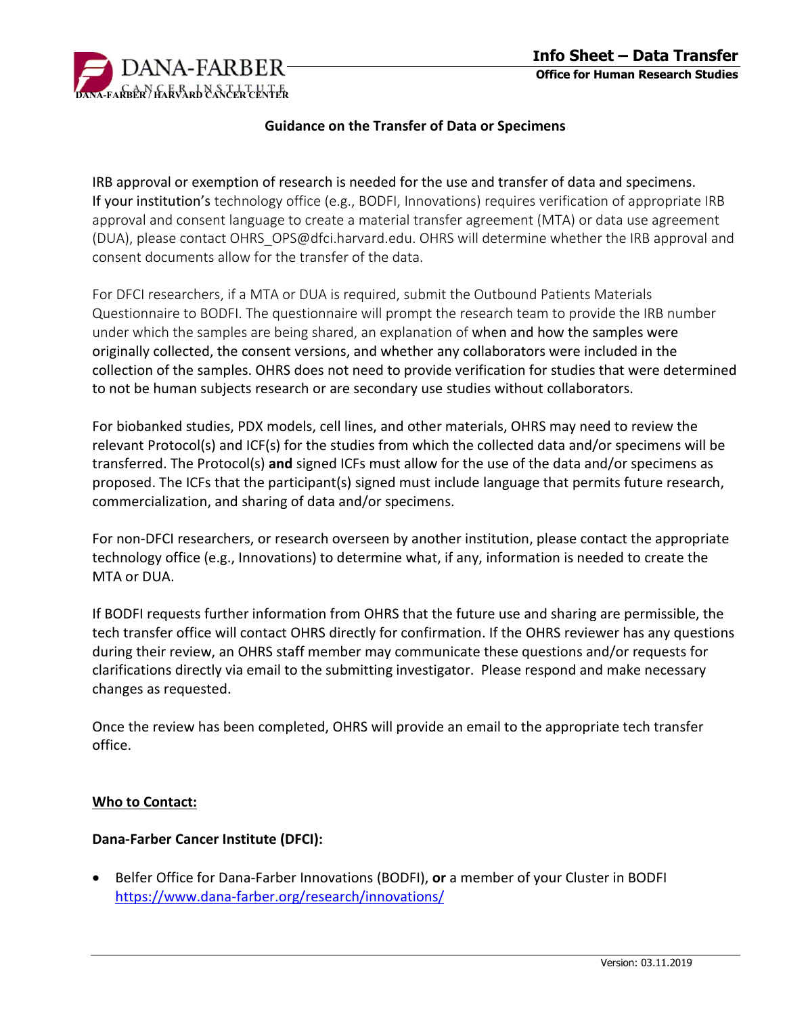

## **Guidance on the Transfer of Data or Specimens**

IRB approval or exemption of research is needed for the use and transfer of data and specimens. If your institution's technology office (e.g., BODFI, Innovations) requires verification of appropriate IRB approval and consent language to create a material transfer agreement (MTA) or data use agreement (DUA), please contact OHRS\_OPS@dfci.harvard.edu. OHRS will determine whether the IRB approval and consent documents allow for the transfer of the data.

For DFCI researchers, if a MTA or DUA is required, submit the Outbound Patients Materials Questionnaire to BODFI. The questionnaire will prompt the research team to provide the IRB number under which the samples are being shared, an explanation of when and how the samples were originally collected, the consent versions, and whether any collaborators were included in the collection of the samples. OHRS does not need to provide verification for studies that were determined to not be human subjects research or are secondary use studies without collaborators.

For biobanked studies, PDX models, cell lines, and other materials, OHRS may need to review the relevant Protocol(s) and ICF(s) for the studies from which the collected data and/or specimens will be transferred. The Protocol(s) **and** signed ICFs must allow for the use of the data and/or specimens as proposed. The ICFs that the participant(s) signed must include language that permits future research, commercialization, and sharing of data and/or specimens.

For non-DFCI researchers, or research overseen by another institution, please contact the appropriate technology office (e.g., Innovations) to determine what, if any, information is needed to create the MTA or DUA.

If BODFI requests further information from OHRS that the future use and sharing are permissible, the tech transfer office will contact OHRS directly for confirmation. If the OHRS reviewer has any questions during their review, an OHRS staff member may communicate these questions and/or requests for clarifications directly via email to the submitting investigator. Please respond and make necessary changes as requested.

Once the review has been completed, OHRS will provide an email to the appropriate tech transfer office.

## **Who to Contact:**

## **Dana-Farber Cancer Institute (DFCI):**

• Belfer Office for Dana-Farber Innovations (BODFI), **or** a member of your Cluster in BODFI <https://www.dana-farber.org/research/innovations/>